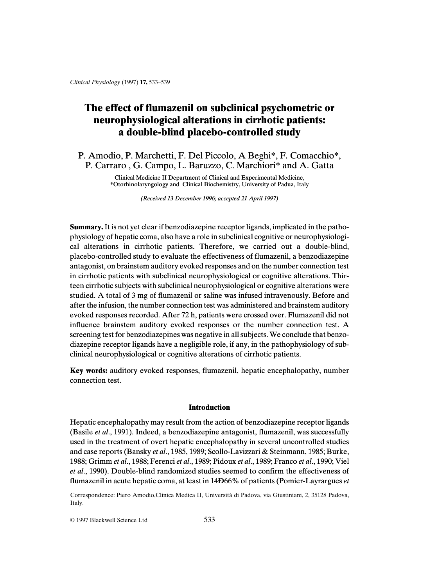# **The effect of flumazenil on subclinical psychometric or neurophysiological alterations in cirrhotic patients: a double-blind placebo-controlled study**

P. Amodio, P. Marchetti, F. Del Piccolo, A Beghi\*, F. Comacchio\*, P. Carraro , G. Campo, L. Baruzzo, C. Marchiori\* and A. Gatta

> Clinical Medicine II Department of Clinical and Experimental Medicine, \*Otorhinolaryngology and Clinical Biochemistry, University of Padua, Italy

> > *(Received 13 December 1996; accepted 21 April 1997)*

**Summary.**It is not yet clear if benzodiazepine receptor ligands, implicated in the pathophysiology of hepatic coma, also have a role in subclinical cognitive or neurophysiological alterations in cirrhotic patients. Therefore, we carried out a double-blind, placebo-controlled study to evaluate the effectiveness of flumazenil, a benzodiazepine antagonist, on brainstem auditory evoked responses and on the number connection test in cirrhotic patients with subclinical neurophysiological or cognitive alterations. Thirteen cirrhotic subjects with subclinical neurophysiological or cognitive alterations were studied. A total of 3 mg of flumazenil or saline was infused intravenously. Before and after the infusion, the number connection test was administered and brainstem auditory evoked responses recorded. After 72 h, patients were crossed over. Flumazenil did not influence brainstem auditory evoked responses or the number connection test. A screening test for benzodiazepines was negative in all subjects. We conclude that benzodiazepine receptor ligands have a negligible role, if any, in the pathophysiology of subclinical neurophysiological or cognitive alterations of cirrhotic patients.

**Key words:** auditory evoked responses, flumazenil, hepatic encephalopathy, number connection test.

## **Introduction**

Hepatic encephalopathy may result from the action of benzodiazepine receptor ligands (Basile *et al*., 1991). Indeed, a benzodiazepine antagonist, flumazenil, was successfully used in the treatment of overt hepatic encephalopathy in several uncontrolled studies and case reports (Bansky *et al*., 1985, 1989; Scollo-Lavizzari & Steinmann, 1985; Burke, 1988; Grimm *et al*., 1988; Ferenci *et al*., 1989; Pidoux *et al*., 1989; Franco *et al*., 1990; Viel *et al*., 1990). Double-blind randomized studies seemed to confirm the effectiveness of flumazenil in acute hepatic coma, at least in 14Ð66% of patients (Pomier-Layrargues *et*

Correspondence: Piero Amodio,Clinica Medica II, Università di Padova, via Giustiniani, 2, 35128 Padova, Italy.

© 1997 Blackwell Science Ltd 533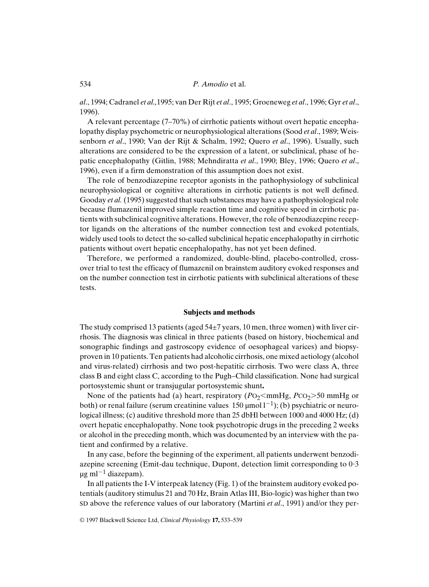534 *P. Amodio* et al.

*al*., 1994; Cadranel *et al.,*1995; van Der Rijt *et al*., 1995; Groeneweg *et al*., 1996; Gyr *et al*., 1996).

A relevant percentage (7–70%) of cirrhotic patients without overt hepatic encephalopathy display psychometric or neurophysiological alterations (Sood *et al*., 1989; Weissenborn *et al*., 1990; Van der Rijt & Schalm, 1992; Quero *et al*., 1996). Usually, such alterations are considered to be the expression of a latent, or subclinical, phase of hepatic encephalopathy (Gitlin, 1988; Mehndiratta *et al*., 1990; Bley, 1996; Quero *et al*., 1996), even if a firm demonstration of this assumption does not exist.

The role of benzodiazepine receptor agonists in the pathophysiology of subclinical neurophysiological or cognitive alterations in cirrhotic patients is not well defined. Gooday *et al.* (1995) suggested that such substances may have a pathophysiological role because flumazenil improved simple reaction time and cognitive speed in cirrhotic patients with subclinical cognitive alterations. However, the role of benzodiazepine receptor ligands on the alterations of the number connection test and evoked potentials, widely used tools to detect the so-called subclinical hepatic encephalopathy in cirrhotic patients without overt hepatic encephalopathy, has not yet been defined.

Therefore, we performed a randomized, double-blind, placebo-controlled, crossover trial to test the efficacy of flumazenil on brainstem auditory evoked responses and on the number connection test in cirrhotic patients with subclinical alterations of these tests.

#### **Subjects and methods**

The study comprised 13 patients (aged  $54\pm7$  years, 10 men, three women) with liver cirrhosis. The diagnosis was clinical in three patients (based on history, biochemical and sonographic findings and gastroscopy evidence of oesophageal varices) and biopsyproven in 10 patients. Ten patients had alcoholic cirrhosis, one mixed aetiology (alcohol and virus-related) cirrhosis and two post-hepatitic cirrhosis. Two were class A, three class B and eight class C, according to the Pugh–Child classification. None had surgical portosystemic shunt or transjugular portosystemic shunt**.**

None of the patients had (a) heart, respiratory  $(PO_2 \leq m mHg, PCO_2 \geq 50$  mmHg or both) or renal failure (serum creatinine values  $150 \text{ \mu mol} \, 1^{-1}$ ); (b) psychiatric or neurological illness; (c) auditive threshold more than 25 dbHl between 1000 and 4000 Hz; (d) overt hepatic encephalopathy. None took psychotropic drugs in the preceding 2 weeks or alcohol in the preceding month, which was documented by an interview with the patient and confirmed by a relative.

In any case, before the beginning of the experiment, all patients underwent benzodiazepine screening (Emit-dau technique, Dupont, detection limit corresponding to 0?3  $\mu$ g ml<sup>-1</sup> diazepam).

In all patients the I-V interpeak latency (Fig. 1) of the brainstem auditory evoked potentials (auditory stimulus 21 and 70 Hz, Brain Atlas III, Bio-logic) was higher than two SD above the reference values of our laboratory (Martini *et al*., 1991) and/or they per-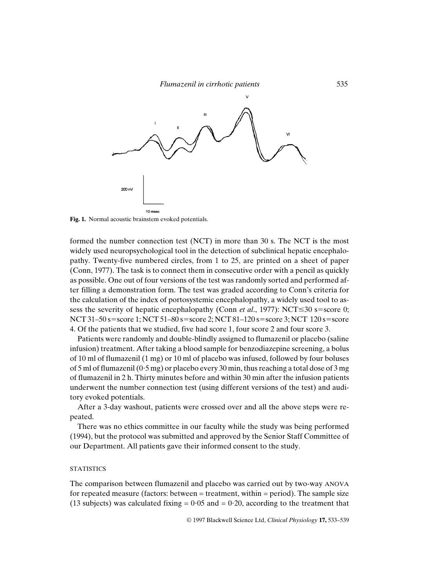

**Fig. 1.** Normal acoustic brainstem evoked potentials.

formed the number connection test (NCT) in more than 30 s. The NCT is the most widely used neuropsychological tool in the detection of subclinical hepatic encephalopathy. Twenty-five numbered circles, from 1 to 25, are printed on a sheet of paper (Conn, 1977). The task is to connect them in consecutive order with a pencil as quickly as possible. One out of four versions of the test was randomly sorted and performed after filling a demonstration form. The test was graded according to Conn's criteria for the calculation of the index of portosystemic encephalopathy, a widely used tool to assess the severity of hepatic encephalopathy (Conn *et al.*, 1977): NCT $\leq$ 30 s=score 0; NCT 31–50 s=score 1; NCT 51–80 s=score 2; NCT 81–120 s=score 3; NCT 120 s=score 4. Of the patients that we studied, five had score 1, four score 2 and four score 3.

Patients were randomly and double-blindly assigned to flumazenil or placebo (saline infusion) treatment. After taking a blood sample for benzodiazepine screening, a bolus of 10 ml of flumazenil (1 mg) or 10 ml of placebo was infused, followed by four boluses of 5 ml of flumazenil  $(0.5 \text{ mg})$  or placebo every 30 min, thus reaching a total dose of 3 mg of flumazenil in 2 h. Thirty minutes before and within 30 min after the infusion patients underwent the number connection test (using different versions of the test) and auditory evoked potentials.

After a 3-day washout, patients were crossed over and all the above steps were repeated.

There was no ethics committee in our faculty while the study was being performed (1994), but the protocol was submitted and approved by the Senior Staff Committee of our Department. All patients gave their informed consent to the study.

# **STATISTICS**

The comparison between flumazenil and placebo was carried out by two-way ANOVA for repeated measure (factors: between = treatment, within = period). The sample size (13 subjects) was calculated fixing  $= 0.05$  and  $= 0.20$ , according to the treatment that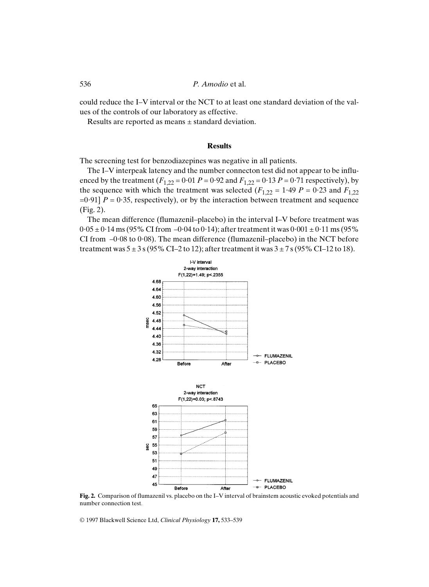536 *P. Amodio* et al.

could reduce the I–V interval or the NCT to at least one standard deviation of the values of the controls of our laboratory as effective.

Results are reported as means ± standard deviation.

### **Results**

The screening test for benzodiazepines was negative in all patients.

The I–V interpeak latency and the number connecton test did not appear to be influenced by the treatment  $(F_{1,22} = 0.01 P = 0.92$  and  $F_{1,22} = 0.13 P = 0.71$  respectively), by the sequence with which the treatment was selected  $(F_{1,22} = 1.49 \ P = 0.23$  and  $F_{1,22}$  $=0.91$ ] *P* = 0.35, respectively), or by the interaction between treatment and sequence (Fig. 2).

The mean difference (flumazenil–placebo) in the interval I–V before treatment was  $0.05 \pm 0.14$  ms (95% CI from  $-0.04$  to 0.14); after treatment it was  $0.001 \pm 0.11$  ms (95% CI from  $-0.08$  to  $0.08$ ). The mean difference (flumazenil–placebo) in the NCT before treatment was  $5 \pm 3$  s (95% CI–2 to 12); after treatment it was  $3 \pm 7$  s (95% CI–12 to 18).



**Fig. 2.** Comparison of flumazenil vs. placebo on the I–V interval of brainstem acoustic evoked potentials and number connection test.

© 1997 Blackwell Science Ltd, *Clinical Physiology* **17,** 533–539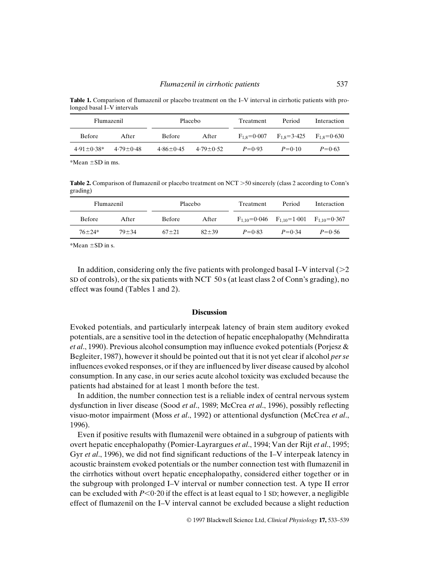**Table 1.** Comparison of flumazenil or placebo treatment on the I–V interval in cirrhotic patients with prolonged basal I–V intervals

| Flumazenil       |               | <b>Placebo</b>  |               | Treatment     | Period            | Interaction       |
|------------------|---------------|-----------------|---------------|---------------|-------------------|-------------------|
| <b>Before</b>    | After         | <b>Before</b>   | After         | $F_1$ s=0.007 | $F_{1,8} = 3.425$ | $F_{1.8} = 0.630$ |
| $4.91 \pm 0.38*$ | $4.79 + 0.48$ | $4.86 \pm 0.45$ | $4.79 + 0.52$ | $P=0.93$      | $P = 0.10$        | $P = 0.63$        |

 $*Mean + SD$  in ms.

**Table 2.** Comparison of flumazenil or placebo treatment on NCT  $>$  50 sincerely (class 2 according to Conn's grading)

| Flumazenil    |           | <b>Placebo</b> |           | Treatment  | Period                                                   | Interaction |
|---------------|-----------|----------------|-----------|------------|----------------------------------------------------------|-------------|
| <b>Before</b> | After     | <b>Before</b>  | After     |            | $F_{1,10} = 0.046$ $F_{1,10} = 1.001$ $F_{1,10} = 0.367$ |             |
| $76 + 24*$    | $79 + 34$ | $67 + 21$      | $82 + 39$ | $P = 0.83$ | $P = 0.34$                                               | $P = 0.56$  |

\*Mean  $\pm$ SD in s.

In addition, considering only the five patients with prolonged basal I–V interval  $(>= 2$ SD of controls), or the six patients with NCT 50 s (at least class 2 of Conn's grading), no effect was found (Tables 1 and 2).

## **Discussion**

Evoked potentials, and particularly interpeak latency of brain stem auditory evoked potentials, are a sensitive tool in the detection of hepatic encephalopathy (Mehndiratta *et al*., 1990). Previous alcohol consumption may influence evoked potentials (Porjesz & Begleiter, 1987), however it should be pointed out that it is not yet clear if alcohol *per se* influences evoked responses, or if they are influenced by liver disease caused by alcohol consumption. In any case, in our series acute alcohol toxicity was excluded because the patients had abstained for at least 1 month before the test.

In addition, the number connection test is a reliable index of central nervous system dysfunction in liver disease (Sood *et al*., 1989; McCrea *et al*., 1996), possibly reflecting visuo-motor impairment (Moss *et al*., 1992) or attentional dysfunction (McCrea *et al*., 1996).

Even if positive results with flumazenil were obtained in a subgroup of patients with overt hepatic encephalopathy (Pomier-Layrargues *et al*., 1994; Van der Rijt *et al*., 1995; Gyr *et al*., 1996), we did not find significant reductions of the I–V interpeak latency in acoustic brainstem evoked potentials or the number connection test with flumazenil in the cirrhotics without overt hepatic encephalopathy, considered either together or in the subgroup with prolonged I–V interval or number connection test. A type II error can be excluded with  $P < 0.20$  if the effect is at least equal to 1 sD; however, a negligible effect of flumazenil on the I–V interval cannot be excluded because a slight reduction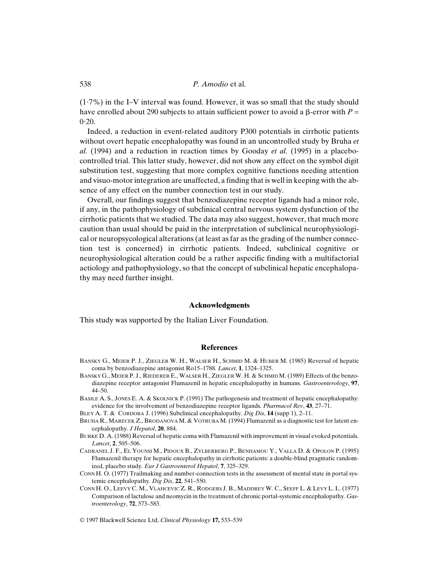## 538 *P. Amodio* et al.

 $(1.7\%)$  in the I–V interval was found. However, it was so small that the study should have enrolled about 290 subjects to attain sufficient power to avoid a  $\beta$ -error with  $P =$  $0.20$ .

Indeed, a reduction in event-related auditory P300 potentials in cirrhotic patients without overt hepatic encephalopathy was found in an uncontrolled study by Bruha *et al.* (1994) and a reduction in reaction times by Gooday *et al.* (1995) in a placebocontrolled trial. This latter study, however, did not show any effect on the symbol digit substitution test, suggesting that more complex cognitive functions needing attention and visuo-motor integration are unaffected, a finding that is well in keeping with the absence of any effect on the number connection test in our study.

Overall, our findings suggest that benzodiazepine receptor ligands had a minor role, if any, in the pathophysiology of subclinical central nervous system dysfunction of the cirrhotic patients that we studied. The data may also suggest, however, that much more caution than usual should be paid in the interpretation of subclinical neurophysiological or neuropsycological alterations (at least as far as the grading of the number connection test is concerned) in cirrhotic patients. Indeed, subclinical cognitive or neurophysiological alteration could be a rather aspecific finding with a multifactorial aetiology and pathophysiology, so that the concept of subclinical hepatic encephalopathy may need further insight.

#### **Acknowledgments**

This study was supported by the Italian Liver Foundation.

#### **References**

- BANSKY G., MEIER P. J., ZIEGLER W. H., WALSER H., SCHMID M. & HUBER M. (1985) Reversal of hepatic coma by benzodiazepine antagonist Ro15–1788*. Lancet*, **1**, 1324–1325.
- BANSKY G., MEIER P. J., RIEDERER E., WALSER H., ZIEGLERW. H. & SCHMID M. (1989) Effects of the benzodiazepine receptor antagonist Flumazenil in hepatic encephalopathy in humans*. Gastroenterology*, **97**, 44–50.
- BASILE A. S., JONES E. A. & SKOLNICK P. (1991) The pathogenesis and treatment of hepatic encephalopathy: evidence for the involvement of benzodiazepine receptor ligands*. Pharmacol Rev*, **43**, 27–71.
- BLEY A. T. & CORDOBA J. (1996) Subclinical encephalopathy. *Dig Dis*, **14** (supp 1), 2–11.
- BRUHA R., MARECEK Z., BRODANOVA M. & VOTRUBA M. (1994) Flumazenil as a diagnostic test for latent encephalopathy*. J Hepatol*, **20**, 884.
- BURKE D. A. (1988) Reversal of hepatic coma with Flumazenil with improvement in visual evoked potentials*. Lancet*, **2**, 505–506.
- CADRANEL J. F., EL YOUNSI M., PIDOUX B., ZYLBERBERG P., BENHAMOU Y., VALLA D. & OPOLON P. (1995) Flumazenil therapy for hepatic encephalopathy in cirrhotic patients: a double-blind pragmatic randomized, placebo study*. Eur J Gastroenterol Hepatol*, **7**, 325–329.
- CONN H. O. (1977) Trailmaking and number-connection tests in the assessment of mental state in portal systemic encephalopathy*. Dig Dis*, **22**, 541–550.
- CONN H. O., LEEVY C. M., VLAHCEVIC Z. R., RODGERS J. B., MADDREY W. C., SEEFF L. & LEVY L. L. (1977) Comparison of lactulose and neomycin in the treatment of chronic portal-systemic encephalopathy*. Gastroenterology*, **72**, 573–583.

© 1997 Blackwell Science Ltd, *Clinical Physiology* **17,** 533–539